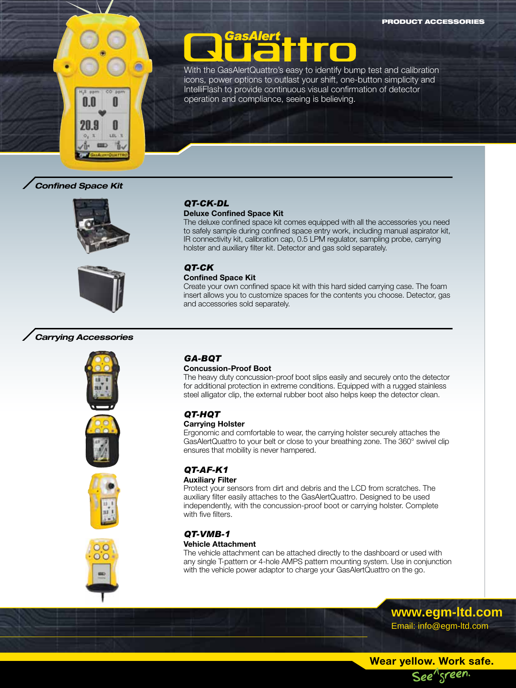

With the GasAlertQuattro's easy to identify bump test and calibration icons, power options to outlast your shift, one-button simplicity and IntelliFlash to provide continuous visual confirmation of detector operation and compliance, seeing is believing.

# *Confined Space Kit*





# *Carrying Accessories*









#### *QT-CK-DL* **Deluxe Confined Space Kit**

The deluxe confined space kit comes equipped with all the accessories you need to safely sample during confined space entry work, including manual aspirator kit, IR connectivity kit, calibration cap, 0.5 LPM regulator, sampling probe, carrying holster and auxiliary filter kit. Detector and gas sold separately.

#### *QT-CK* **Confined Space Kit**

Create your own confined space kit with this hard sided carrying case. The foam insert allows you to customize spaces for the contents you choose. Detector, gas and accessories sold separately.

# *GA-BQT*

#### **Concussion-Proof Boot**

The heavy duty concussion-proof boot slips easily and securely onto the detector for additional protection in extreme conditions. Equipped with a rugged stainless steel alligator clip, the external rubber boot also helps keep the detector clean.

# *QT-HQT*

#### **Carrying Holster**

Ergonomic and comfortable to wear, the carrying holster securely attaches the GasAlertQuattro to your belt or close to your breathing zone. The 360° swivel clip ensures that mobility is never hampered.

# *QT-AF-K1*

#### **Auxiliary Filter**

Protect your sensors from dirt and debris and the LCD from scratches. The auxiliary filter easily attaches to the GasAlertQuattro. Designed to be used independently, with the concussion-proof boot or carrying holster. Complete with five filters.

# *QT-VMB-1*

#### **Vehicle Attachment**

The vehicle attachment can be attached directly to the dashboard or used with any single T-pattern or 4-hole AMPS pattern mounting system. Use in conjunction with the vehicle power adaptor to charge your GasAlertQuattro on the go.

> **www.egm-ltd.com** Email: info@egm-ltd.com

**Wear yellow. Work safe.** See"sreen.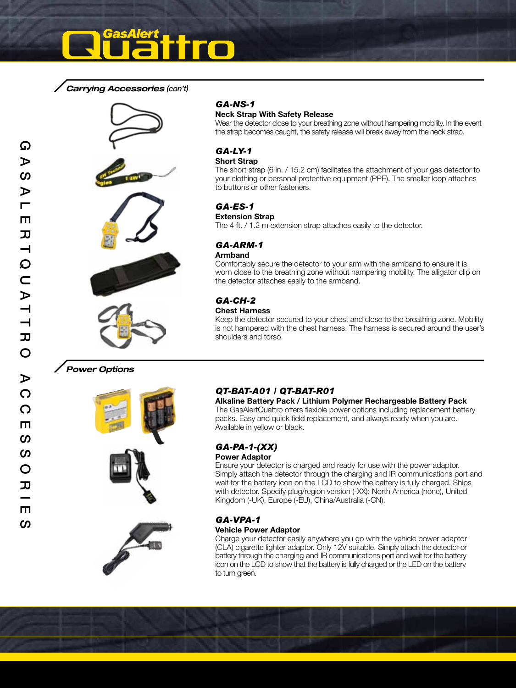*Carrying Accessories (con't)*







#### *GA-NS-1*

#### **Neck Strap With Safety Release**

Wear the detector close to your breathing zone without hampering mobility. In the event the strap becomes caught, the safety release will break away from the neck strap.

#### *GA-LY-1* **Short Strap**

The short strap (6 in. / 15.2 cm) facilitates the attachment of your gas detector to your clothing or personal protective equipment (PPE). The smaller loop attaches to buttons or other fasteners.

# *GA-ES-1*

**Extension Strap**

The 4 ft. / 1.2 m extension strap attaches easily to the detector.

#### *GA-ARM-1* **Armband**

Comfortably secure the detector to your arm with the armband to ensure it is worn close to the breathing zone without hampering mobility. The alligator clip on the detector attaches easily to the armband.

# *GA-CH-2*

#### **Chest Harness**

Keep the detector secured to your chest and close to the breathing zone. Mobility is not hampered with the chest harness. The harness is secured around the user's shoulders and torso.

#### *Power Options*



# *QT-BAT-A01 / QT-BAT-R01*

**Alkaline Battery Pack / Lithium Polymer Rechargeable Battery Pack** The GasAlertQuattro offers flexible power options including replacement battery packs. Easy and quick field replacement, and always ready when you are. Available in yellow or black.

# *GA-PA-1-(XX)*

#### **Power Adaptor**

Ensure your detector is charged and ready for use with the power adaptor. Simply attach the detector through the charging and IR communications port and wait for the battery icon on the LCD to show the battery is fully charged. Ships with detector. Specify plug/region version (-XX): North America (none), United Kingdom (-UK), Europe (-EU), China/Australia (-CN).

#### *GA-VPA-1* **Vehicle Power Adaptor**

Charge your detector easily anywhere you go with the vehicle power adaptor (CLA) cigarette lighter adaptor. Only 12V suitable. Simply attach the detector or battery through the charging and IR communications port and wait for the battery icon on the LCD to show that the battery is fully charged or the LED on the battery to turn green.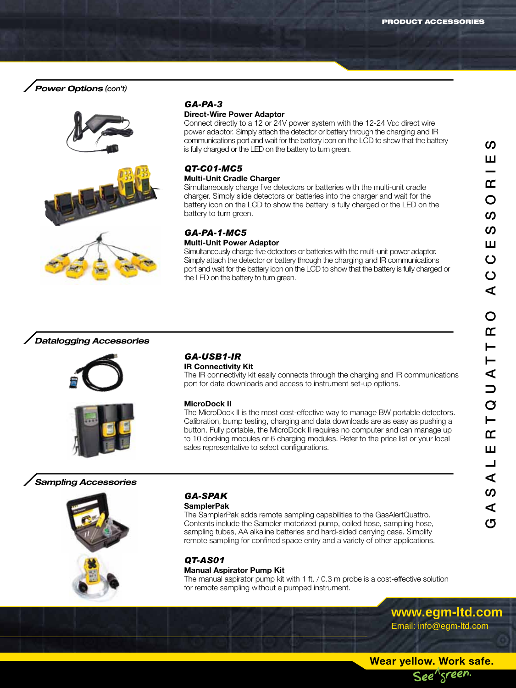# *Power Options (con't)*





# *GA-PA-3*

#### **Direct-Wire Power Adaptor**

Connect directly to a 12 or 24V power system with the 12-24 V<sub>DC</sub> direct wire power adaptor. Simply attach the detector or battery through the charging and IR communications port and wait for the battery icon on the LCD to show that the battery is fully charged or the LED on the battery to turn green.

#### *QT-C01-MC5* **Multi-Unit Cradle Charger**

#### Simultaneously charge five detectors or batteries with the multi-unit cradle charger. Simply slide detectors or batteries into the charger and wait for the battery icon on the LCD to show the battery is fully charged or the LED on the

# battery to turn green.

# *GA-PA-1-MC5*

#### **Multi-Unit Power Adaptor**

Simultaneously charge five detectors or batteries with the multi-unit power adaptor. Simply attach the detector or battery through the charging and IR communications port and wait for the battery icon on the LCD to show that the battery is fully charged or the LED on the battery to turn green.

### *Datalogging Accessories*





#### *GA-USB1-IR* **IR Connectivity Kit**

The IR connectivity kit easily connects through the charging and IR communications port for data downloads and access to instrument set-up options.

#### **MicroDock II**

The MicroDock II is the most cost-effective way to manage BW portable detectors. Calibration, bump testing, charging and data downloads are as easy as pushing a button. Fully portable, the MicroDock II requires no computer and can manage up to 10 docking modules or 6 charging modules. Refer to the price list or your local sales representative to select configurations.

# *Sampling Accessories*



# *GA-SPAK*

#### **SamplerPak**

The SamplerPak adds remote sampling capabilities to the GasAlertQuattro. Contents include the Sampler motorized pump, coiled hose, sampling hose, sampling tubes, AA alkaline batteries and hard-sided carrying case. Simplify remote sampling for confined space entry and a variety of other applications.

# *QT-AS01*

#### **Manual Aspirator Pump Kit**

The manual aspirator pump kit with 1 ft. / 0.3 m probe is a cost-effective solution for remote sampling without a pumped instrument.

> **www.egm-ltd.com** Email: info@egm-ltd.com

ၯ